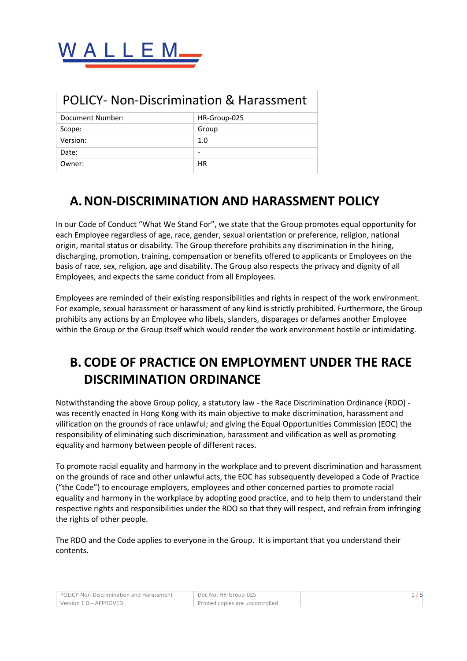

| <b>POLICY- Non-Discrimination &amp; Harassment</b> |                          |  |
|----------------------------------------------------|--------------------------|--|
| Document Number:                                   | HR-Group-025             |  |
| Scope:                                             | Group                    |  |
| Version:                                           | 1.0                      |  |
| Date:                                              | $\overline{\phantom{0}}$ |  |
| Owner:                                             | HR                       |  |

## **A.NON-DISCRIMINATION AND HARASSMENT POLICY**

In our Code of Conduct "What We Stand For", we state that the Group promotes equal opportunity for each Employee regardless of age, race, gender, sexual orientation or preference, religion, national origin, marital status or disability. The Group therefore prohibits any discrimination in the hiring, discharging, promotion, training, compensation or benefits offered to applicants or Employees on the basis of race, sex, religion, age and disability. The Group also respects the privacy and dignity of all Employees, and expects the same conduct from all Employees.

Employees are reminded of their existing responsibilities and rights in respect of the work environment. For example, sexual harassment or harassment of any kind is strictly prohibited. Furthermore, the Group prohibits any actions by an Employee who libels, slanders, disparages or defames another Employee within the Group or the Group itself which would render the work environment hostile or intimidating.

# **B. CODE OF PRACTICE ON EMPLOYMENT UNDER THE RACE DISCRIMINATION ORDINANCE**

Notwithstanding the above Group policy, a statutory law - the Race Discrimination Ordinance (RDO) was recently enacted in Hong Kong with its main objective to make discrimination, harassment and vilification on the grounds of race unlawful; and giving the Equal Opportunities Commission (EOC) the responsibility of eliminating such discrimination, harassment and vilification as well as promoting equality and harmony between people of different races.

To promote racial equality and harmony in the workplace and to prevent discrimination and harassment on the grounds of race and other unlawful acts, the EOC has subsequently developed a Code of Practice ("the Code") to encourage employers, employees and other concerned parties to promote racial equality and harmony in the workplace by adopting good practice, and to help them to understand their respective rights and responsibilities under the RDO so that they will respect, and refrain from infringing the rights of other people.

The RDO and the Code applies to everyone in the Group. It is important that you understand their contents.

| POLICY-Non-Discrimination and Harassment | Doc No: HR-Group-025            |  |
|------------------------------------------|---------------------------------|--|
| Version 1.0 – APPROVED                   | Printed copies are uncontrolled |  |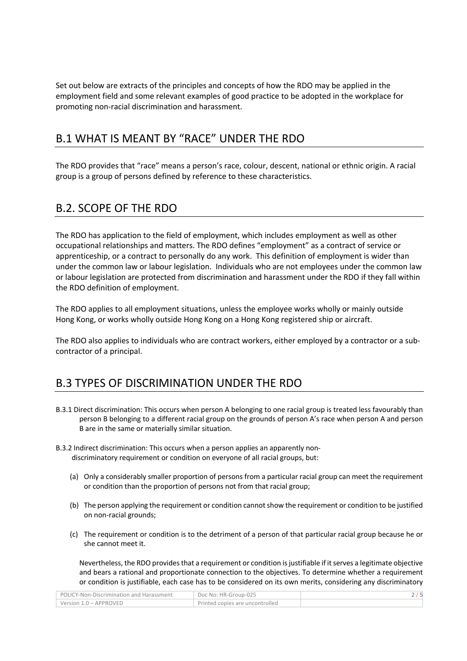Set out below are extracts of the principles and concepts of how the RDO may be applied in the employment field and some relevant examples of good practice to be adopted in the workplace for promoting non-racial discrimination and harassment.

#### B.1 WHAT IS MEANT BY "RACE" UNDER THE RDO

The RDO provides that "race" means a person's race, colour, descent, national or ethnic origin. A racial group is a group of persons defined by reference to these characteristics.

#### B.2. SCOPE OF THE RDO

The RDO has application to the field of employment, which includes employment as well as other occupational relationships and matters. The RDO defines "employment" as a contract of service or apprenticeship, or a contract to personally do any work. This definition of employment is wider than under the common law or labour legislation. Individuals who are not employees under the common law or labour legislation are protected from discrimination and harassment under the RDO if they fall within the RDO definition of employment.

The RDO applies to all employment situations, unless the employee works wholly or mainly outside Hong Kong, or works wholly outside Hong Kong on a Hong Kong registered ship or aircraft.

The RDO also applies to individuals who are contract workers, either employed by a contractor or a subcontractor of a principal.

#### B.3 TYPES OF DISCRIMINATION UNDER THE RDO

- B.3.1 Direct discrimination: This occurs when person A belonging to one racial group is treated less favourably than person B belonging to a different racial group on the grounds of person A's race when person A and person B are in the same or materially similar situation.
- B.3.2 Indirect discrimination: This occurs when a person applies an apparently non discriminatory requirement or condition on everyone of all racial groups, but:
	- (a) Only a considerably smaller proportion of persons from a particular racial group can meet the requirement or condition than the proportion of persons not from that racial group;
	- (b) The person applying the requirement or condition cannot show the requirement or condition to be justified on non-racial grounds;
	- (c) The requirement or condition is to the detriment of a person of that particular racial group because he or she cannot meet it.

Nevertheless, the RDO provides that a requirement or condition is justifiable if it serves a legitimate objective and bears a rational and proportionate connection to the objectives. To determine whether a requirement or condition is justifiable, each case has to be considered on its own merits, considering any discriminatory

| POLICY-Non-Discrimination and Harassment | Doc No: HR-Group-025            |  |
|------------------------------------------|---------------------------------|--|
| Version 1.0 – APPROVED                   | Printed copies are uncontrolled |  |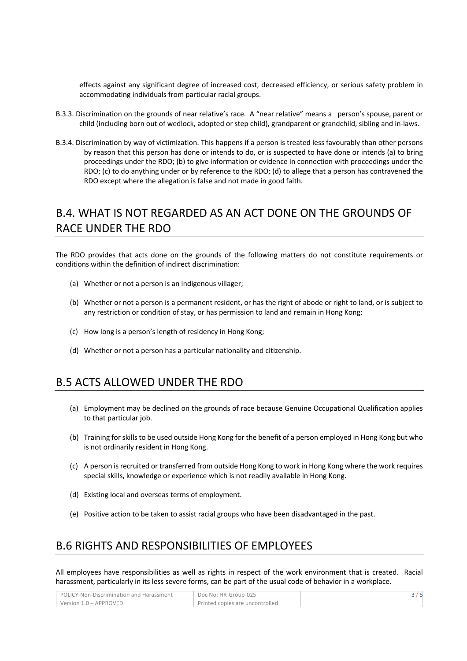effects against any significant degree of increased cost, decreased efficiency, or serious safety problem in accommodating individuals from particular racial groups.

- B.3.3. Discrimination on the grounds of near relative's race. A "near relative" means a person's spouse, parent or child (including born out of wedlock, adopted or step child), grandparent or grandchild, sibling and in-laws.
- B.3.4. Discrimination by way of victimization. This happens if a person is treated less favourably than other persons by reason that this person has done or intends to do, or is suspected to have done or intends (a) to bring proceedings under the RDO; (b) to give information or evidence in connection with proceedings under the RDO; (c) to do anything under or by reference to the RDO; (d) to allege that a person has contravened the RDO except where the allegation is false and not made in good faith.

### B.4. WHAT IS NOT REGARDED AS AN ACT DONE ON THE GROUNDS OF RACE UNDER THE RDO

The RDO provides that acts done on the grounds of the following matters do not constitute requirements or conditions within the definition of indirect discrimination:

- (a) Whether or not a person is an indigenous villager;
- (b) Whether or not a person is a permanent resident, or has the right of abode or right to land, or is subject to any restriction or condition of stay, or has permission to land and remain in Hong Kong;
- (c) How long is a person's length of residency in Hong Kong;
- (d) Whether or not a person has a particular nationality and citizenship.

#### B.5 ACTS ALLOWED UNDER THE RDO

- (a) Employment may be declined on the grounds of race because Genuine Occupational Qualification applies to that particular job.
- (b) Training for skills to be used outside Hong Kong for the benefit of a person employed in Hong Kong but who is not ordinarily resident in Hong Kong.
- (c) A person is recruited or transferred from outside Hong Kong to work in Hong Kong where the work requires special skills, knowledge or experience which is not readily available in Hong Kong.
- (d) Existing local and overseas terms of employment.
- (e) Positive action to be taken to assist racial groups who have been disadvantaged in the past.

#### B.6 RIGHTS AND RESPONSIBILITIES OF EMPLOYEES

All employees have responsibilities as well as rights in respect of the work environment that is created. Racial harassment, particularly in its less severe forms, can be part of the usual code of behavior in a workplace.

| POLICY-Non-Discrimination and Harassment | Doc No: HR-Group-025            |  |
|------------------------------------------|---------------------------------|--|
| Version 1.0 - APPROVED                   | Printed copies are uncontrolled |  |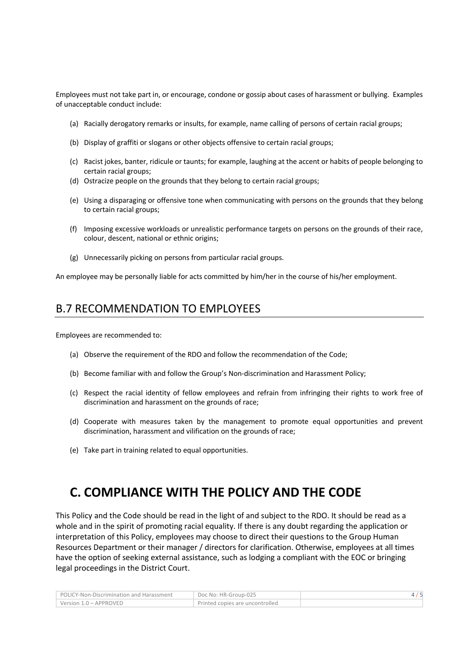Employees must not take part in, or encourage, condone or gossip about cases of harassment or bullying. Examples of unacceptable conduct include:

- (a) Racially derogatory remarks or insults, for example, name calling of persons of certain racial groups;
- (b) Display of graffiti or slogans or other objects offensive to certain racial groups;
- (c) Racist jokes, banter, ridicule or taunts; for example, laughing at the accent or habits of people belonging to certain racial groups;
- (d) Ostracize people on the grounds that they belong to certain racial groups;
- (e) Using a disparaging or offensive tone when communicating with persons on the grounds that they belong to certain racial groups;
- (f) Imposing excessive workloads or unrealistic performance targets on persons on the grounds of their race, colour, descent, national or ethnic origins;
- (g) Unnecessarily picking on persons from particular racial groups.

An employee may be personally liable for acts committed by him/her in the course of his/her employment.

#### B.7 RECOMMENDATION TO EMPLOYEES

Employees are recommended to:

- (a) Observe the requirement of the RDO and follow the recommendation of the Code;
- (b) Become familiar with and follow the Group's Non-discrimination and Harassment Policy;
- (c) Respect the racial identity of fellow employees and refrain from infringing their rights to work free of discrimination and harassment on the grounds of race;
- (d) Cooperate with measures taken by the management to promote equal opportunities and prevent discrimination, harassment and vilification on the grounds of race;
- (e) Take part in training related to equal opportunities.

### **C. COMPLIANCE WITH THE POLICY AND THE CODE**

This Policy and the Code should be read in the light of and subject to the RDO. It should be read as a whole and in the spirit of promoting racial equality. If there is any doubt regarding the application or interpretation of this Policy, employees may choose to direct their questions to the Group Human Resources Department or their manager / directors for clarification. Otherwise, employees at all times have the option of seeking external assistance, such as lodging a compliant with the EOC or bringing legal proceedings in the District Court.

| POLICY-Non-Discrimination and Harassment | Doc No: HR-Group-025            |  |
|------------------------------------------|---------------------------------|--|
| Version 1.0 – APPROVED                   | Printed copies are uncontrolled |  |